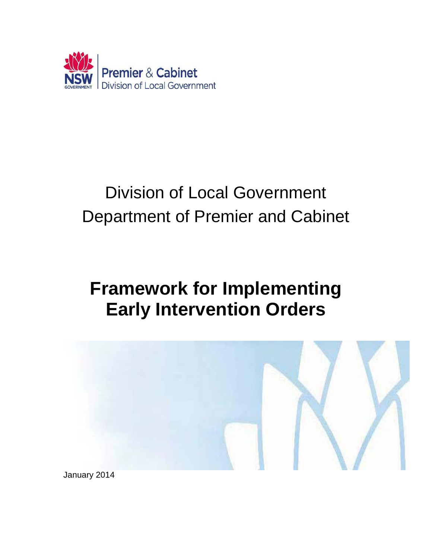

# Division of Local Government Department of Premier and Cabinet

## **Framework for Implementing Early Intervention Orders**



January 2014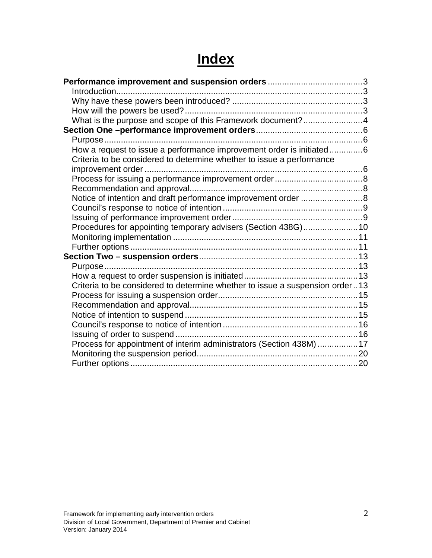## **Index**

| What is the purpose and scope of this Framework document?4                   |  |
|------------------------------------------------------------------------------|--|
|                                                                              |  |
|                                                                              |  |
| How a request to issue a performance improvement order is initiated6         |  |
| Criteria to be considered to determine whether to issue a performance        |  |
|                                                                              |  |
|                                                                              |  |
|                                                                              |  |
| Notice of intention and draft performance improvement order 8                |  |
|                                                                              |  |
|                                                                              |  |
| Procedures for appointing temporary advisers (Section 438G) 10               |  |
|                                                                              |  |
|                                                                              |  |
|                                                                              |  |
|                                                                              |  |
|                                                                              |  |
| Criteria to be considered to determine whether to issue a suspension order13 |  |
|                                                                              |  |
|                                                                              |  |
|                                                                              |  |
|                                                                              |  |
|                                                                              |  |
| Process for appointment of interim administrators (Section 438M) 17          |  |
|                                                                              |  |
|                                                                              |  |
|                                                                              |  |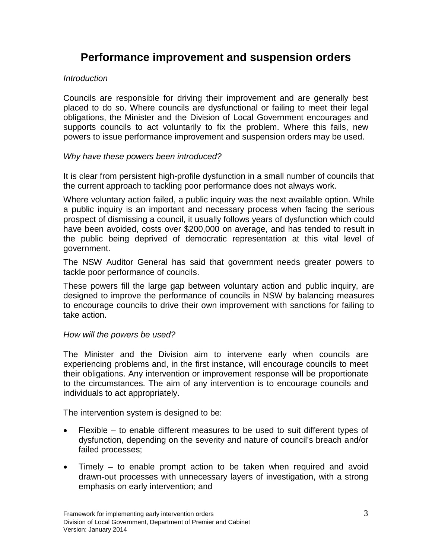### <span id="page-2-0"></span>**Performance improvement and suspension orders**

#### <span id="page-2-1"></span>*Introduction*

Councils are responsible for driving their improvement and are generally best placed to do so. Where councils are dysfunctional or failing to meet their legal obligations, the Minister and the Division of Local Government encourages and supports councils to act voluntarily to fix the problem. Where this fails, new powers to issue performance improvement and suspension orders may be used.

#### <span id="page-2-2"></span>*Why have these powers been introduced?*

It is clear from persistent high-profile dysfunction in a small number of councils that the current approach to tackling poor performance does not always work.

Where voluntary action failed, a public inquiry was the next available option. While a public inquiry is an important and necessary process when facing the serious prospect of dismissing a council, it usually follows years of dysfunction which could have been avoided, costs over \$200,000 on average, and has tended to result in the public being deprived of democratic representation at this vital level of government.

The NSW Auditor General has said that government needs greater powers to tackle poor performance of councils.

These powers fill the large gap between voluntary action and public inquiry, are designed to improve the performance of councils in NSW by balancing measures to encourage councils to drive their own improvement with sanctions for failing to take action.

#### <span id="page-2-3"></span>*How will the powers be used?*

The Minister and the Division aim to intervene early when councils are experiencing problems and, in the first instance, will encourage councils to meet their obligations. Any intervention or improvement response will be proportionate to the circumstances. The aim of any intervention is to encourage councils and individuals to act appropriately.

The intervention system is designed to be:

- Flexible to enable different measures to be used to suit different types of dysfunction, depending on the severity and nature of council's breach and/or failed processes;
- Timely to enable prompt action to be taken when required and avoid drawn-out processes with unnecessary layers of investigation, with a strong emphasis on early intervention; and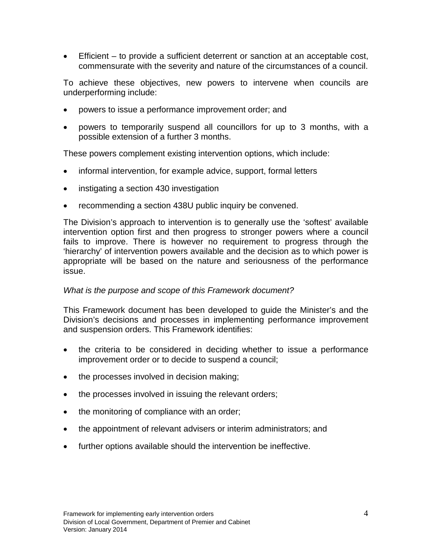• Efficient – to provide a sufficient deterrent or sanction at an acceptable cost, commensurate with the severity and nature of the circumstances of a council.

To achieve these objectives, new powers to intervene when councils are underperforming include:

- powers to issue a performance improvement order; and
- powers to temporarily suspend all councillors for up to 3 months, with a possible extension of a further 3 months.

These powers complement existing intervention options, which include:

- informal intervention, for example advice, support, formal letters
- instigating a section 430 investigation
- recommending a section 438U public inquiry be convened.

The Division's approach to intervention is to generally use the 'softest' available intervention option first and then progress to stronger powers where a council fails to improve. There is however no requirement to progress through the 'hierarchy' of intervention powers available and the decision as to which power is appropriate will be based on the nature and seriousness of the performance issue.

#### <span id="page-3-0"></span>*What is the purpose and scope of this Framework document?*

This Framework document has been developed to guide the Minister's and the Division's decisions and processes in implementing performance improvement and suspension orders. This Framework identifies:

- the criteria to be considered in deciding whether to issue a performance improvement order or to decide to suspend a council;
- the processes involved in decision making;
- the processes involved in issuing the relevant orders;
- the monitoring of compliance with an order;
- the appointment of relevant advisers or interim administrators; and
- further options available should the intervention be ineffective.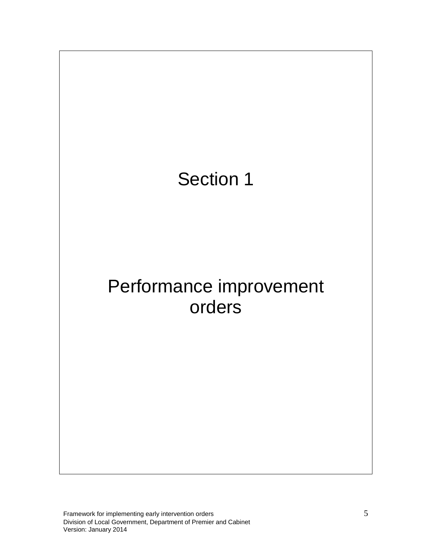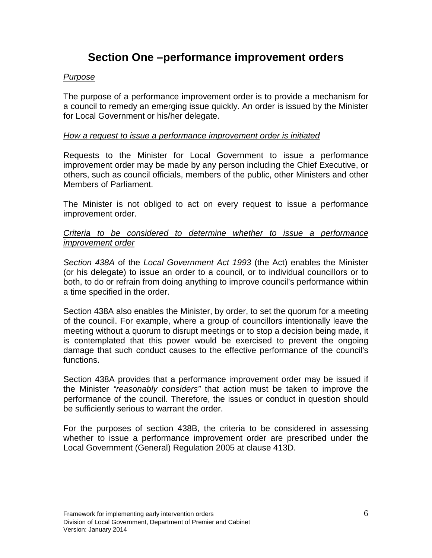## **Section One –performance improvement orders**

#### <span id="page-5-1"></span><span id="page-5-0"></span>*Purpose*

The purpose of a performance improvement order is to provide a mechanism for a council to remedy an emerging issue quickly. An order is issued by the Minister for Local Government or his/her delegate.

#### <span id="page-5-2"></span>*How a request to issue a performance improvement order is initiated*

Requests to the Minister for Local Government to issue a performance improvement order may be made by any person including the Chief Executive, or others, such as council officials, members of the public, other Ministers and other Members of Parliament.

The Minister is not obliged to act on every request to issue a performance improvement order.

#### <span id="page-5-3"></span>*Criteria to be considered to determine whether to issue a performance improvement order*

*Section 438A* of the *Local Government Act 1993* (the Act) enables the Minister (or his delegate) to issue an order to a council, or to individual councillors or to both, to do or refrain from doing anything to improve council's performance within a time specified in the order.

Section 438A also enables the Minister, by order, to set the quorum for a meeting of the council. For example, where a group of councillors intentionally leave the meeting without a quorum to disrupt meetings or to stop a decision being made, it is contemplated that this power would be exercised to prevent the ongoing damage that such conduct causes to the effective performance of the council's functions.

Section 438A provides that a performance improvement order may be issued if the Minister *"reasonably considers"* that action must be taken to improve the performance of the council. Therefore, the issues or conduct in question should be sufficiently serious to warrant the order.

For the purposes of section 438B, the criteria to be considered in assessing whether to issue a performance improvement order are prescribed under the Local Government (General) Regulation 2005 at clause 413D.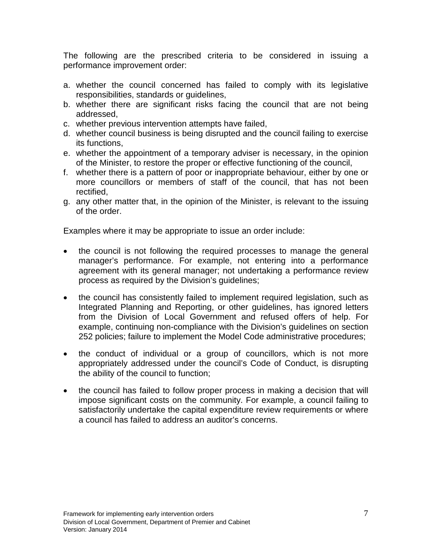The following are the prescribed criteria to be considered in issuing a performance improvement order:

- a. whether the council concerned has failed to comply with its legislative responsibilities, standards or guidelines,
- b. whether there are significant risks facing the council that are not being addressed,
- c. whether previous intervention attempts have failed,
- d. whether council business is being disrupted and the council failing to exercise its functions,
- e. whether the appointment of a temporary adviser is necessary, in the opinion of the Minister, to restore the proper or effective functioning of the council,
- f. whether there is a pattern of poor or inappropriate behaviour, either by one or more councillors or members of staff of the council, that has not been rectified,
- g. any other matter that, in the opinion of the Minister, is relevant to the issuing of the order.

Examples where it may be appropriate to issue an order include:

- the council is not following the required processes to manage the general manager's performance. For example, not entering into a performance agreement with its general manager; not undertaking a performance review process as required by the Division's guidelines;
- the council has consistently failed to implement required legislation, such as Integrated Planning and Reporting, or other guidelines, has ignored letters from the Division of Local Government and refused offers of help. For example, continuing non-compliance with the Division's guidelines on section 252 policies; failure to implement the Model Code administrative procedures;
- the conduct of individual or a group of councillors, which is not more appropriately addressed under the council's Code of Conduct, is disrupting the ability of the council to function;
- the council has failed to follow proper process in making a decision that will impose significant costs on the community. For example, a council failing to satisfactorily undertake the capital expenditure review requirements or where a council has failed to address an auditor's concerns.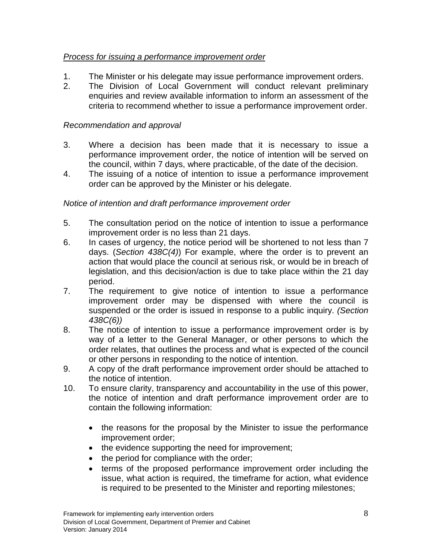#### <span id="page-7-0"></span>*Process for issuing a performance improvement order*

- 1. The Minister or his delegate may issue performance improvement orders.
- 2. The Division of Local Government will conduct relevant preliminary enquiries and review available information to inform an assessment of the criteria to recommend whether to issue a performance improvement order.

#### <span id="page-7-1"></span>*Recommendation and approval*

- 3. Where a decision has been made that it is necessary to issue a performance improvement order, the notice of intention will be served on the council, within 7 days, where practicable, of the date of the decision.
- 4. The issuing of a notice of intention to issue a performance improvement order can be approved by the Minister or his delegate.

#### <span id="page-7-2"></span>*Notice of intention and draft performance improvement order*

- 5. The consultation period on the notice of intention to issue a performance improvement order is no less than 21 days.
- 6. In cases of urgency, the notice period will be shortened to not less than 7 days. (*Section 438C(4)*) For example, where the order is to prevent an action that would place the council at serious risk, or would be in breach of legislation, and this decision/action is due to take place within the 21 day period.
- 7. The requirement to give notice of intention to issue a performance improvement order may be dispensed with where the council is suspended or the order is issued in response to a public inquiry. *(Section 438C(6))*
- 8. The notice of intention to issue a performance improvement order is by way of a letter to the General Manager, or other persons to which the order relates, that outlines the process and what is expected of the council or other persons in responding to the notice of intention.
- 9. A copy of the draft performance improvement order should be attached to the notice of intention.
- 10. To ensure clarity, transparency and accountability in the use of this power, the notice of intention and draft performance improvement order are to contain the following information:
	- the reasons for the proposal by the Minister to issue the performance improvement order;
	- the evidence supporting the need for improvement;
	- the period for compliance with the order;
	- terms of the proposed performance improvement order including the issue, what action is required, the timeframe for action, what evidence is required to be presented to the Minister and reporting milestones;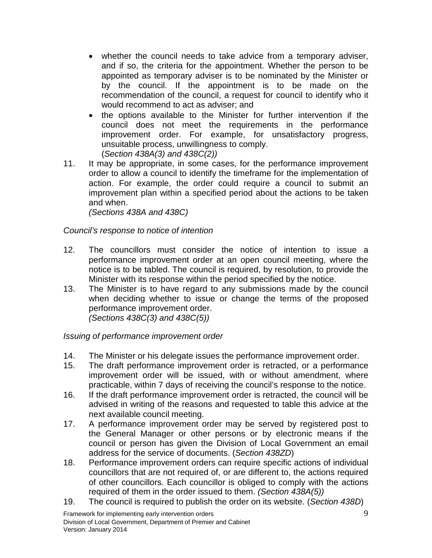- whether the council needs to take advice from a temporary adviser, and if so, the criteria for the appointment. Whether the person to be appointed as temporary adviser is to be nominated by the Minister or by the council. If the appointment is to be made on the recommendation of the council, a request for council to identify who it would recommend to act as adviser; and
- the options available to the Minister for further intervention if the council does not meet the requirements in the performance improvement order. For example, for unsatisfactory progress, unsuitable process, unwillingness to comply. (*Section 438A(3) and 438C(2))*
- 11. It may be appropriate, in some cases, for the performance improvement order to allow a council to identify the timeframe for the implementation of action. For example, the order could require a council to submit an improvement plan within a specified period about the actions to be taken and when.

*(Sections 438A and 438C)*

#### <span id="page-8-0"></span>*Council's response to notice of intention*

- 12. The councillors must consider the notice of intention to issue a performance improvement order at an open council meeting, where the notice is to be tabled. The council is required, by resolution, to provide the Minister with its response within the period specified by the notice.
- 13. The Minister is to have regard to any submissions made by the council when deciding whether to issue or change the terms of the proposed performance improvement order. *(Sections 438C(3) and 438C(5))*

<span id="page-8-1"></span>*Issuing of performance improvement order*

- 14. The Minister or his delegate issues the performance improvement order.
- 15. The draft performance improvement order is retracted, or a performance improvement order will be issued, with or without amendment, where practicable, within 7 days of receiving the council's response to the notice.
- 16. If the draft performance improvement order is retracted, the council will be advised in writing of the reasons and requested to table this advice at the next available council meeting.
- 17. A performance improvement order may be served by registered post to the General Manager or other persons or by electronic means if the council or person has given the Division of Local Government an email address for the service of documents. (*Section 438ZD*)
- 18. Performance improvement orders can require specific actions of individual councillors that are not required of, or are different to, the actions required of other councillors. Each councillor is obliged to comply with the actions required of them in the order issued to them. *(Section 438A(5))*
- 19. The council is required to publish the order on its website. (*Section 438D*)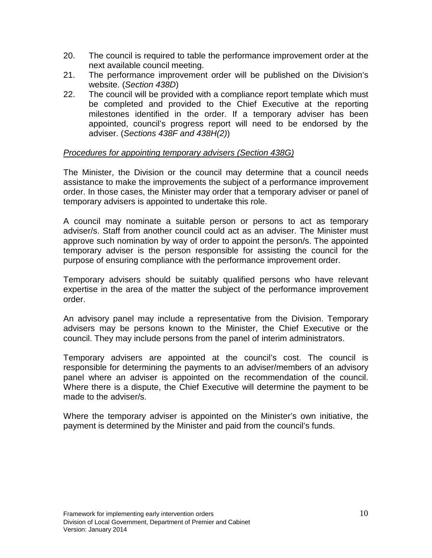- 20. The council is required to table the performance improvement order at the next available council meeting.
- 21. The performance improvement order will be published on the Division's website. (*Section 438D*)
- 22. The council will be provided with a compliance report template which must be completed and provided to the Chief Executive at the reporting milestones identified in the order. If a temporary adviser has been appointed, council's progress report will need to be endorsed by the adviser. (*Sections 438F and 438H(2)*)

#### <span id="page-9-0"></span>*Procedures for appointing temporary advisers (Section 438G)*

The Minister, the Division or the council may determine that a council needs assistance to make the improvements the subject of a performance improvement order. In those cases, the Minister may order that a temporary adviser or panel of temporary advisers is appointed to undertake this role.

A council may nominate a suitable person or persons to act as temporary adviser/s. Staff from another council could act as an adviser. The Minister must approve such nomination by way of order to appoint the person/s. The appointed temporary adviser is the person responsible for assisting the council for the purpose of ensuring compliance with the performance improvement order.

Temporary advisers should be suitably qualified persons who have relevant expertise in the area of the matter the subject of the performance improvement order.

An advisory panel may include a representative from the Division. Temporary advisers may be persons known to the Minister, the Chief Executive or the council. They may include persons from the panel of interim administrators.

Temporary advisers are appointed at the council's cost. The council is responsible for determining the payments to an adviser/members of an advisory panel where an adviser is appointed on the recommendation of the council. Where there is a dispute, the Chief Executive will determine the payment to be made to the adviser/s.

Where the temporary adviser is appointed on the Minister's own initiative, the payment is determined by the Minister and paid from the council's funds.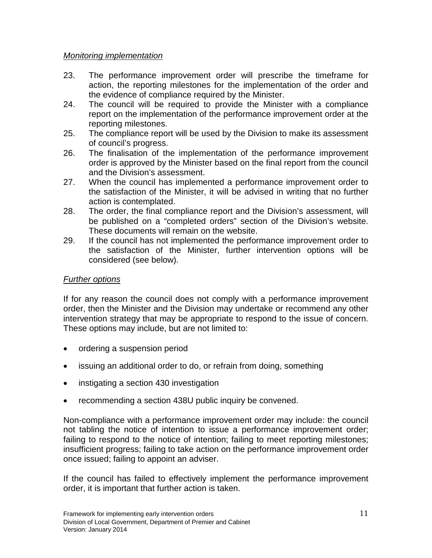#### <span id="page-10-0"></span>*Monitoring implementation*

- 23. The performance improvement order will prescribe the timeframe for action, the reporting milestones for the implementation of the order and the evidence of compliance required by the Minister.
- 24. The council will be required to provide the Minister with a compliance report on the implementation of the performance improvement order at the reporting milestones.
- 25. The compliance report will be used by the Division to make its assessment of council's progress.
- 26. The finalisation of the implementation of the performance improvement order is approved by the Minister based on the final report from the council and the Division's assessment.
- 27. When the council has implemented a performance improvement order to the satisfaction of the Minister, it will be advised in writing that no further action is contemplated.
- 28. The order, the final compliance report and the Division's assessment, will be published on a "completed orders" section of the Division's website. These documents will remain on the website.
- 29. If the council has not implemented the performance improvement order to the satisfaction of the Minister, further intervention options will be considered (see below).

#### <span id="page-10-1"></span>*Further options*

If for any reason the council does not comply with a performance improvement order, then the Minister and the Division may undertake or recommend any other intervention strategy that may be appropriate to respond to the issue of concern. These options may include, but are not limited to:

- ordering a suspension period
- issuing an additional order to do, or refrain from doing, something
- instigating a section 430 investigation
- recommending a section 438U public inquiry be convened.

Non-compliance with a performance improvement order may include: the council not tabling the notice of intention to issue a performance improvement order; failing to respond to the notice of intention; failing to meet reporting milestones; insufficient progress; failing to take action on the performance improvement order once issued; failing to appoint an adviser.

If the council has failed to effectively implement the performance improvement order, it is important that further action is taken.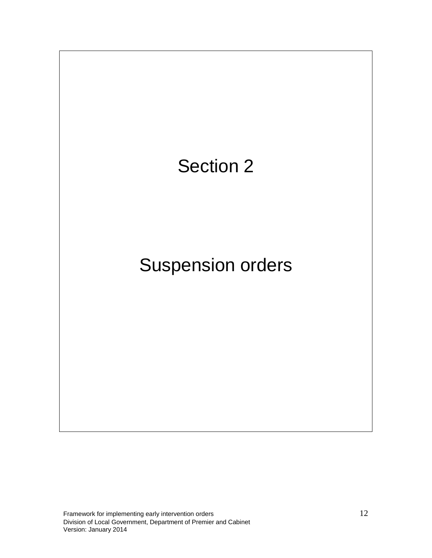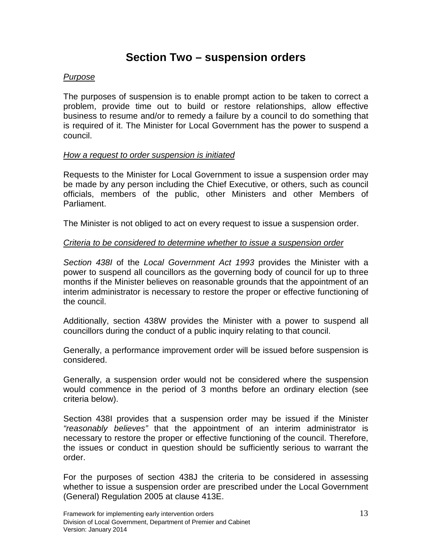### **Section Two – suspension orders**

#### <span id="page-12-1"></span><span id="page-12-0"></span>*Purpose*

The purposes of suspension is to enable prompt action to be taken to correct a problem, provide time out to build or restore relationships, allow effective business to resume and/or to remedy a failure by a council to do something that is required of it. The Minister for Local Government has the power to suspend a council.

#### <span id="page-12-2"></span>*How a request to order suspension is initiated*

Requests to the Minister for Local Government to issue a suspension order may be made by any person including the Chief Executive, or others, such as council officials, members of the public, other Ministers and other Members of Parliament.

The Minister is not obliged to act on every request to issue a suspension order.

#### <span id="page-12-3"></span>*Criteria to be considered to determine whether to issue a suspension order*

*Section 438I* of the *Local Government Act 1993* provides the Minister with a power to suspend all councillors as the governing body of council for up to three months if the Minister believes on reasonable grounds that the appointment of an interim administrator is necessary to restore the proper or effective functioning of the council.

Additionally, section 438W provides the Minister with a power to suspend all councillors during the conduct of a public inquiry relating to that council.

Generally, a performance improvement order will be issued before suspension is considered.

Generally, a suspension order would not be considered where the suspension would commence in the period of 3 months before an ordinary election (see criteria below).

Section 438I provides that a suspension order may be issued if the Minister *"reasonably believes"* that the appointment of an interim administrator is necessary to restore the proper or effective functioning of the council. Therefore, the issues or conduct in question should be sufficiently serious to warrant the order.

For the purposes of section 438J the criteria to be considered in assessing whether to issue a suspension order are prescribed under the Local Government (General) Regulation 2005 at clause 413E.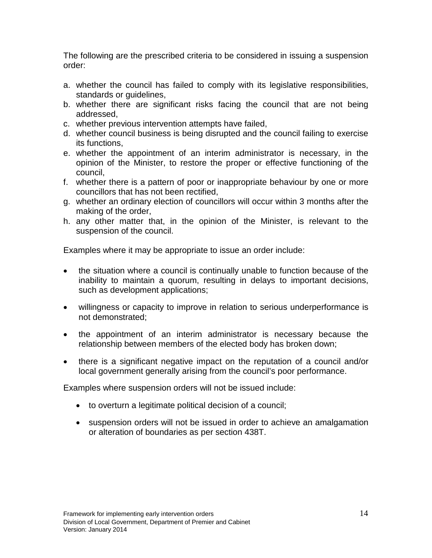The following are the prescribed criteria to be considered in issuing a suspension order:

- a. whether the council has failed to comply with its legislative responsibilities, standards or guidelines,
- b. whether there are significant risks facing the council that are not being addressed,
- c. whether previous intervention attempts have failed,
- d. whether council business is being disrupted and the council failing to exercise its functions,
- e. whether the appointment of an interim administrator is necessary, in the opinion of the Minister, to restore the proper or effective functioning of the council,
- f. whether there is a pattern of poor or inappropriate behaviour by one or more councillors that has not been rectified,
- g. whether an ordinary election of councillors will occur within 3 months after the making of the order,
- h. any other matter that, in the opinion of the Minister, is relevant to the suspension of the council.

Examples where it may be appropriate to issue an order include:

- the situation where a council is continually unable to function because of the inability to maintain a quorum, resulting in delays to important decisions, such as development applications;
- willingness or capacity to improve in relation to serious underperformance is not demonstrated;
- the appointment of an interim administrator is necessary because the relationship between members of the elected body has broken down;
- there is a significant negative impact on the reputation of a council and/or local government generally arising from the council's poor performance.

Examples where suspension orders will not be issued include:

- to overturn a legitimate political decision of a council;
- suspension orders will not be issued in order to achieve an amalgamation or alteration of boundaries as per section 438T.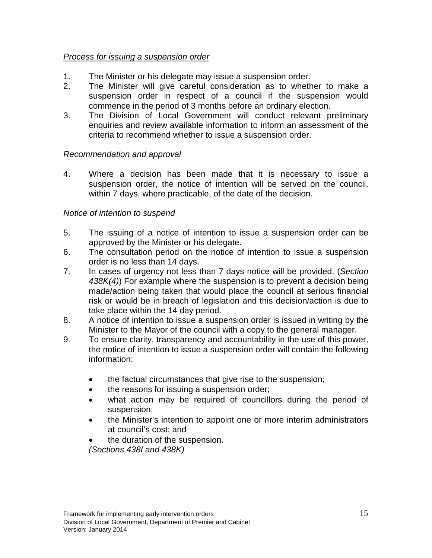#### <span id="page-14-0"></span>*Process for issuing a suspension order*

- 1. The Minister or his delegate may issue a suspension order.
- 2. The Minister will give careful consideration as to whether to make a suspension order in respect of a council if the suspension would commence in the period of 3 months before an ordinary election.
- 3. The Division of Local Government will conduct relevant preliminary enquiries and review available information to inform an assessment of the criteria to recommend whether to issue a suspension order.

#### <span id="page-14-1"></span>*Recommendation and approval*

4. Where a decision has been made that it is necessary to issue a suspension order, the notice of intention will be served on the council, within 7 days, where practicable, of the date of the decision.

#### <span id="page-14-2"></span>*Notice of intention to suspend*

- 5. The issuing of a notice of intention to issue a suspension order can be approved by the Minister or his delegate.
- 6. The consultation period on the notice of intention to issue a suspension order is no less than 14 days.
- 7. In cases of urgency not less than 7 days notice will be provided. (*Section 438K(4)*) For example where the suspension is to prevent a decision being made/action being taken that would place the council at serious financial risk or would be in breach of legislation and this decision/action is due to take place within the 14 day period.
- 8. A notice of intention to issue a suspension order is issued in writing by the Minister to the Mayor of the council with a copy to the general manager.
- 9. To ensure clarity, transparency and accountability in the use of this power, the notice of intention to issue a suspension order will contain the following information:
	- the factual circumstances that give rise to the suspension;
	- the reasons for issuing a suspension order;
	- what action may be required of councillors during the period of suspension;
	- the Minister's intention to appoint one or more interim administrators at council's cost; and
	- the duration of the suspension.

*(Sections 438I and 438K)*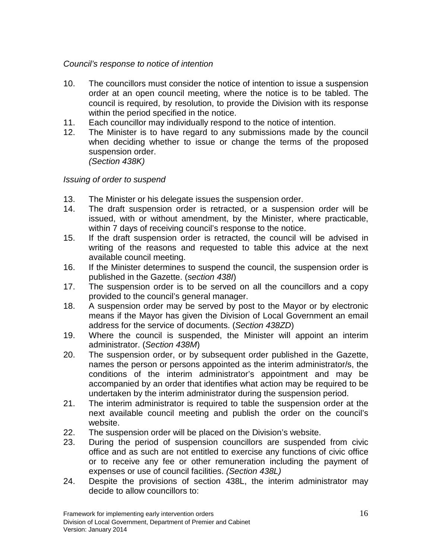#### <span id="page-15-0"></span>*Council's response to notice of intention*

- 10. The councillors must consider the notice of intention to issue a suspension order at an open council meeting, where the notice is to be tabled. The council is required, by resolution, to provide the Division with its response within the period specified in the notice.
- 11. Each councillor may individually respond to the notice of intention.
- 12. The Minister is to have regard to any submissions made by the council when deciding whether to issue or change the terms of the proposed suspension order. *(Section 438K)*

#### <span id="page-15-1"></span>*Issuing of order to suspend*

- 13. The Minister or his delegate issues the suspension order.
- 14. The draft suspension order is retracted, or a suspension order will be issued, with or without amendment, by the Minister, where practicable, within 7 days of receiving council's response to the notice.
- 15. If the draft suspension order is retracted, the council will be advised in writing of the reasons and requested to table this advice at the next available council meeting.
- 16. If the Minister determines to suspend the council, the suspension order is published in the Gazette. (*section 438I*)
- 17. The suspension order is to be served on all the councillors and a copy provided to the council's general manager.
- 18. A suspension order may be served by post to the Mayor or by electronic means if the Mayor has given the Division of Local Government an email address for the service of documents. (*Section 438ZD*)
- 19. Where the council is suspended, the Minister will appoint an interim administrator. (*Section 438M*)
- 20. The suspension order, or by subsequent order published in the Gazette, names the person or persons appointed as the interim administrator/s, the conditions of the interim administrator's appointment and may be accompanied by an order that identifies what action may be required to be undertaken by the interim administrator during the suspension period.
- 21. The interim administrator is required to table the suspension order at the next available council meeting and publish the order on the council's website.
- 22. The suspension order will be placed on the Division's website.
- 23. During the period of suspension councillors are suspended from civic office and as such are not entitled to exercise any functions of civic office or to receive any fee or other remuneration including the payment of expenses or use of council facilities. *(Section 438L)*
- 24. Despite the provisions of section 438L, the interim administrator may decide to allow councillors to: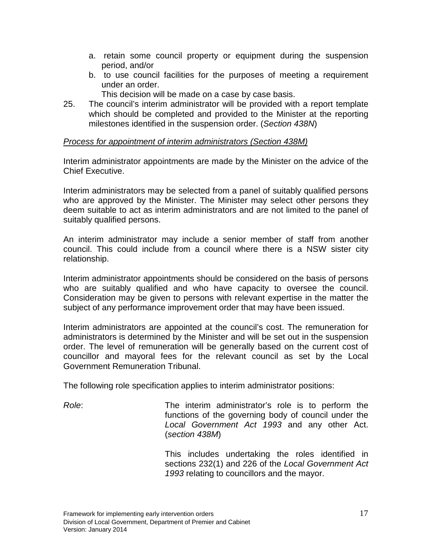- a. retain some council property or equipment during the suspension period, and/or
- b. to use council facilities for the purposes of meeting a requirement under an order.
	- This decision will be made on a case by case basis.
- 25. The council's interim administrator will be provided with a report template which should be completed and provided to the Minister at the reporting milestones identified in the suspension order. (*Section 438N*)

#### <span id="page-16-0"></span>*Process for appointment of interim administrators (Section 438M)*

Interim administrator appointments are made by the Minister on the advice of the Chief Executive.

Interim administrators may be selected from a panel of suitably qualified persons who are approved by the Minister. The Minister may select other persons they deem suitable to act as interim administrators and are not limited to the panel of suitably qualified persons.

An interim administrator may include a senior member of staff from another council. This could include from a council where there is a NSW sister city relationship.

Interim administrator appointments should be considered on the basis of persons who are suitably qualified and who have capacity to oversee the council. Consideration may be given to persons with relevant expertise in the matter the subject of any performance improvement order that may have been issued.

Interim administrators are appointed at the council's cost. The remuneration for administrators is determined by the Minister and will be set out in the suspension order. The level of remuneration will be generally based on the current cost of councillor and mayoral fees for the relevant council as set by the Local Government Remuneration Tribunal.

The following role specification applies to interim administrator positions:

*Role*: The interim administrator's role is to perform the functions of the governing body of council under the *Local Government Act 1993* and any other Act. (*section 438M*)

> This includes undertaking the roles identified in sections 232(1) and 226 of the *Local Government Act 1993* relating to councillors and the mayor.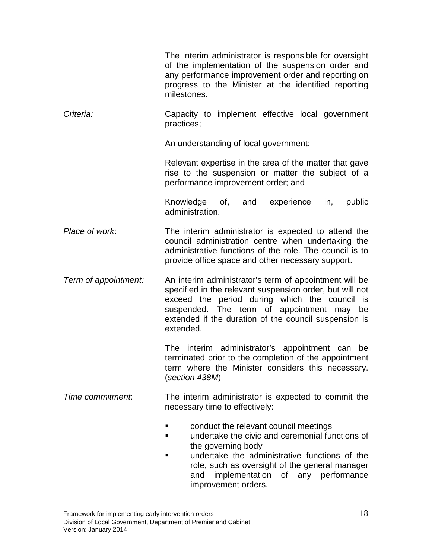|                      | The interim administrator is responsible for oversight<br>of the implementation of the suspension order and<br>any performance improvement order and reporting on<br>progress to the Minister at the identified reporting<br>milestones.                                                            |
|----------------------|-----------------------------------------------------------------------------------------------------------------------------------------------------------------------------------------------------------------------------------------------------------------------------------------------------|
| Criteria:            | Capacity to implement effective local government<br>practices;                                                                                                                                                                                                                                      |
|                      | An understanding of local government;                                                                                                                                                                                                                                                               |
|                      | Relevant expertise in the area of the matter that gave<br>rise to the suspension or matter the subject of a<br>performance improvement order; and                                                                                                                                                   |
|                      | experience<br>Knowledge of,<br>and<br>in,<br>public<br>administration.                                                                                                                                                                                                                              |
| Place of work:       | The interim administrator is expected to attend the<br>council administration centre when undertaking the<br>administrative functions of the role. The council is to<br>provide office space and other necessary support.                                                                           |
| Term of appointment: | An interim administrator's term of appointment will be<br>specified in the relevant suspension order, but will not<br>exceed the period during which the council is<br>suspended. The term of appointment may<br>be<br>extended if the duration of the council suspension is<br>extended.           |
|                      | The interim administrator's appointment can<br>be<br>terminated prior to the completion of the appointment<br>term where the Minister considers this necessary.<br>(section 438M)                                                                                                                   |
| Time commitment:     | The interim administrator is expected to commit the<br>necessary time to effectively:                                                                                                                                                                                                               |
|                      | conduct the relevant council meetings<br>٠<br>undertake the civic and ceremonial functions of<br>▪<br>the governing body<br>undertake the administrative functions of the<br>٠<br>role, such as oversight of the general manager<br>implementation of any performance<br>and<br>improvement orders. |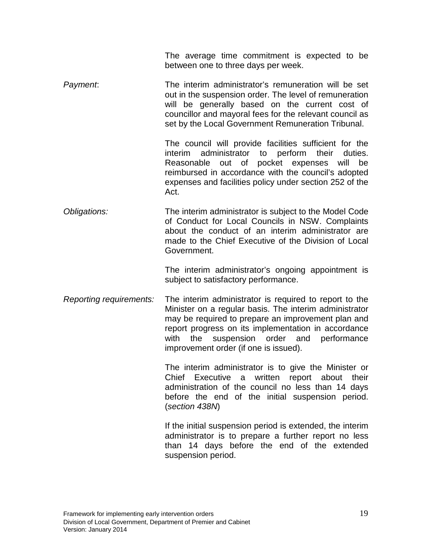The average time commitment is expected to be between one to three days per week.

*Payment*: The interim administrator's remuneration will be set out in the suspension order. The level of remuneration will be generally based on the current cost of councillor and mayoral fees for the relevant council as set by the Local Government Remuneration Tribunal.

> The council will provide facilities sufficient for the interim administrator to perform their duties. Reasonable out of pocket expenses will be reimbursed in accordance with the council's adopted expenses and facilities policy under section 252 of the Act.

*Obligations:* The interim administrator is subject to the Model Code of Conduct for Local Councils in NSW. Complaints about the conduct of an interim administrator are made to the Chief Executive of the Division of Local Government.

> The interim administrator's ongoing appointment is subject to satisfactory performance.

*Reporting requirements:* The interim administrator is required to report to the Minister on a regular basis. The interim administrator may be required to prepare an improvement plan and report progress on its implementation in accordance with the suspension order and performance improvement order (if one is issued).

> The interim administrator is to give the Minister or Chief Executive a written report about their administration of the council no less than 14 days before the end of the initial suspension period. (*section 438N*)

> If the initial suspension period is extended, the interim administrator is to prepare a further report no less than 14 days before the end of the extended suspension period.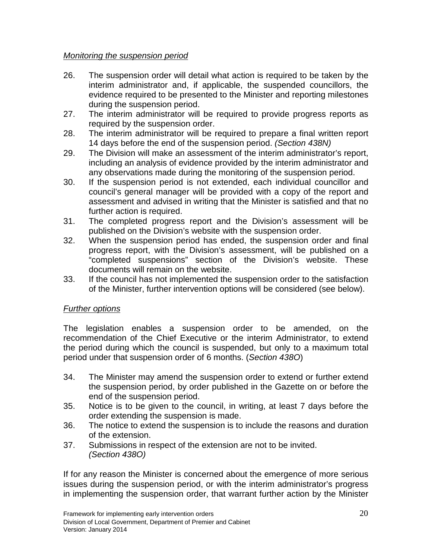#### <span id="page-19-0"></span>*Monitoring the suspension period*

- 26. The suspension order will detail what action is required to be taken by the interim administrator and, if applicable, the suspended councillors, the evidence required to be presented to the Minister and reporting milestones during the suspension period.
- 27. The interim administrator will be required to provide progress reports as required by the suspension order.
- 28. The interim administrator will be required to prepare a final written report 14 days before the end of the suspension period. *(Section 438N)*
- 29. The Division will make an assessment of the interim administrator's report, including an analysis of evidence provided by the interim administrator and any observations made during the monitoring of the suspension period.
- 30. If the suspension period is not extended, each individual councillor and council's general manager will be provided with a copy of the report and assessment and advised in writing that the Minister is satisfied and that no further action is required.
- 31. The completed progress report and the Division's assessment will be published on the Division's website with the suspension order.
- 32. When the suspension period has ended, the suspension order and final progress report, with the Division's assessment, will be published on a "completed suspensions" section of the Division's website. These documents will remain on the website.
- 33. If the council has not implemented the suspension order to the satisfaction of the Minister, further intervention options will be considered (see below).

#### <span id="page-19-1"></span>*Further options*

The legislation enables a suspension order to be amended, on the recommendation of the Chief Executive or the interim Administrator, to extend the period during which the council is suspended, but only to a maximum total period under that suspension order of 6 months. (*Section 438O*)

- 34. The Minister may amend the suspension order to extend or further extend the suspension period, by order published in the Gazette on or before the end of the suspension period.
- 35. Notice is to be given to the council, in writing, at least 7 days before the order extending the suspension is made.
- 36. The notice to extend the suspension is to include the reasons and duration of the extension.
- 37. Submissions in respect of the extension are not to be invited. *(Section 438O)*

If for any reason the Minister is concerned about the emergence of more serious issues during the suspension period, or with the interim administrator's progress in implementing the suspension order, that warrant further action by the Minister